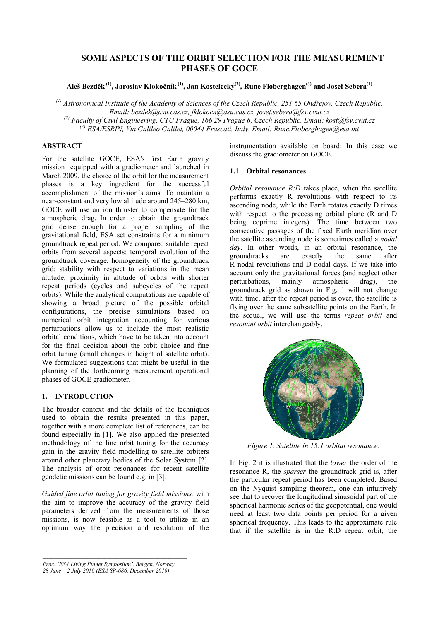# **SOME ASPECTS OF THE ORBIT SELECTION FOR THE MEASUREMENT PHASES OF GOCE**

**Aleš Bezděk (1), Jaroslav Klokočník (1), Jan Kostelecký(2), Rune Floberghagen(3) and Josef Sebera(1)**

*(1) Astronomical Institute of the Academy of Sciences of the Czech Republic, 251 65 Ondřejov, Czech Republic, Email: bezdek@asu.cas.cz, jklokocn@asu.cas.cz, josef.sebera@fsv.cvut.cz (2) Faculty of Civil Engineering, CTU Prague, 166 29 Prague 6, Czech Republic, Email: kost@fsv.cvut.cz (3) ESA/ESRIN, Via Galileo Galilei, 00044 Frascati, Italy, Email: Rune.Floberghagen@esa.int* 

# **ABSTRACT**

For the satellite GOCE, ESA's first Earth gravity mission equipped with a gradiometer and launched in March 2009, the choice of the orbit for the measurement phases is a key ingredient for the successful accomplishment of the mission's aims. To maintain a near-constant and very low altitude around 245–280 km, GOCE will use an ion thruster to compensate for the atmospheric drag. In order to obtain the groundtrack grid dense enough for a proper sampling of the gravitational field, ESA set constraints for a minimum groundtrack repeat period. We compared suitable repeat orbits from several aspects: temporal evolution of the groundtrack coverage; homogeneity of the groundtrack grid; stability with respect to variations in the mean altitude; proximity in altitude of orbits with shorter repeat periods (cycles and subcycles of the repeat orbits). While the analytical computations are capable of showing a broad picture of the possible orbital configurations, the precise simulations based on numerical orbit integration accounting for various perturbations allow us to include the most realistic orbital conditions, which have to be taken into account for the final decision about the orbit choice and fine orbit tuning (small changes in height of satellite orbit). We formulated suggestions that might be useful in the planning of the forthcoming measurement operational phases of GOCE gradiometer.

## **1. INTRODUCTION**

The broader context and the details of the techniques used to obtain the results presented in this paper, together with a more complete list of references, can be found especially in [1]. We also applied the presented methodology of the fine orbit tuning for the accuracy gain in the gravity field modelling to satellite orbiters around other planetary bodies of the Solar System [2]. The analysis of orbit resonances for recent satellite geodetic missions can be found e.g. in [3].

*Guided fine orbit tuning for gravity field missions,* with the aim to improve the accuracy of the gravity field parameters derived from the measurements of those missions, is now feasible as a tool to utilize in an optimum way the precision and resolution of the

*Proc. 'ESA Living Planet Symposium', Bergen, Norway 28 June – 2 July 2010 (ESA SP-686, December 2010)*

instrumentation available on board: In this case we discuss the gradiometer on GOCE.

### **1.1. Orbital resonances**

*Orbital resonance R:D* takes place, when the satellite performs exactly R revolutions with respect to its ascending node, while the Earth rotates exactly D times with respect to the precessing orbital plane (R and D being coprime integers). The time between two consecutive passages of the fixed Earth meridian over the satellite ascending node is sometimes called a *nodal day*. In other words, in an orbital resonance, the groundtracks are exactly the same after R nodal revolutions and D nodal days. If we take into account only the gravitational forces (and neglect other perturbations, mainly atmospheric drag), the groundtrack grid as shown in Fig. 1 will not change with time, after the repeat period is over, the satellite is flying over the same subsatellite points on the Earth. In the sequel, we will use the terms *repeat orbit* and *resonant orbit* interchangeably.



*Figure 1. Satellite in 15:1 orbital resonance.* 

In Fig. 2 it is illustrated that the *lower* the order of the resonance R, the *sparser* the groundtrack grid is, after the particular repeat period has been completed. Based on the Nyquist sampling theorem, one can intuitively see that to recover the longitudinal sinusoidal part of the spherical harmonic series of the geopotential, one would need at least two data points per period for a given spherical frequency. This leads to the approximate rule that if the satellite is in the R:D repeat orbit, the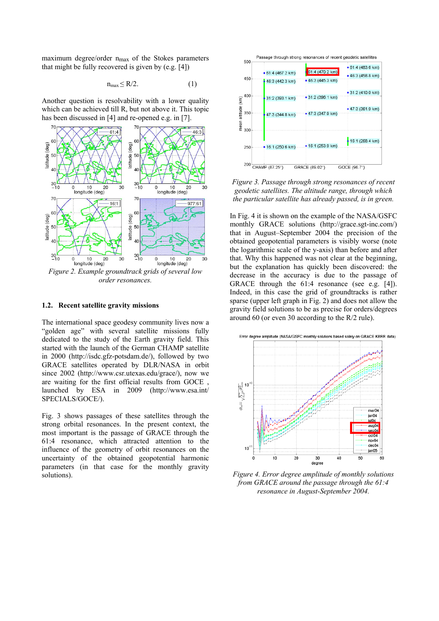maximum degree/order  $n_{max}$  of the Stokes parameters that might be fully recovered is given by (e.g. [4])

$$
n_{\max} \le R/2. \tag{1}
$$

Another question is resolvability with a lower quality which can be achieved till R, but not above it. This topic has been discussed in [4] and re-opened e.g. in [7].



*Figure 2. Example groundtrack grids of several low order resonances.* 

#### **1.2. Recent satellite gravity missions**

The international space geodesy community lives now a "golden age" with several satellite missions fully dedicated to the study of the Earth gravity field. This started with the launch of the German CHAMP satellite in 2000 (http://isdc.gfz-potsdam.de/), followed by two GRACE satellites operated by DLR/NASA in orbit since 2002 (http://www.csr.utexas.edu/grace/), now we are waiting for the first official results from GOCE , launched by ESA in 2009 (http://www.esa.int/ SPECIALS/GOCE/).

Fig. 3 shows passages of these satellites through the strong orbital resonances. In the present context, the most important is the passage of GRACE through the 61:4 resonance, which attracted attention to the influence of the geometry of orbit resonances on the uncertainty of the obtained geopotential harmonic parameters (in that case for the monthly gravity solutions).



*Figure 3. Passage through strong resonances of recent geodetic satellites. The altitude range, through which the particular satellite has already passed, is in green.* 

In Fig. 4 it is shown on the example of the NASA/GSFC monthly GRACE solutions (http://grace.sgt-inc.com/) that in August–September 2004 the precision of the obtained geopotential parameters is visibly worse (note the logarithmic scale of the y-axis) than before and after that. Why this happened was not clear at the beginning, but the explanation has quickly been discovered: the decrease in the accuracy is due to the passage of GRACE through the 61:4 resonance (see e.g. [4]). Indeed, in this case the grid of groundtracks is rather sparse (upper left graph in Fig. 2) and does not allow the gravity field solutions to be as precise for orders/degrees around 60 (or even 30 according to the R/2 rule).



*Figure 4. Error degree amplitude of monthly solutions from GRACE around the passage through the 61:4 resonance in August-September 2004.*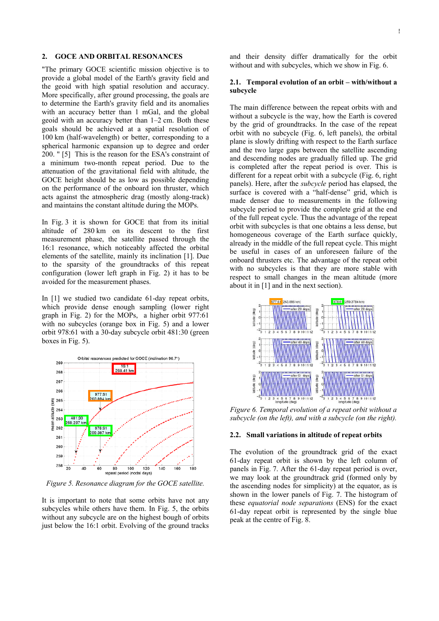### **2. GOCE AND ORBITAL RESONANCES**

"The primary GOCE scientific mission objective is to provide a global model of the Earth's gravity field and the geoid with high spatial resolution and accuracy. More specifically, after ground processing, the goals are to determine the Earth's gravity field and its anomalies with an accuracy better than 1 mGal, and the global geoid with an accuracy better than 1–2 cm. Both these goals should be achieved at a spatial resolution of 100 km (half-wavelength) or better, corresponding to a spherical harmonic expansion up to degree and order 200. " [5] This is the reason for the ESA's constraint of a minimum two-month repeat period. Due to the attenuation of the gravitational field with altitude, the GOCE height should be as low as possible depending on the performance of the onboard ion thruster, which acts against the atmospheric drag (mostly along-track) and maintains the constant altitude during the MOPs.

In Fig. 3 it is shown for GOCE that from its initial altitude of 280 km on its descent to the first measurement phase, the satellite passed through the 16:1 resonance, which noticeably affected the orbital elements of the satellite, mainly its inclination [1]. Due to the sparsity of the groundtracks of this repeat configuration (lower left graph in Fig. 2) it has to be avoided for the measurement phases.

In [1] we studied two candidate 61-day repeat orbits, which provide dense enough sampling (lower right graph in Fig. 2) for the MOPs, a higher orbit 977:61 with no subcycles (orange box in Fig. 5) and a lower orbit 978:61 with a 30-day subcycle orbit 481:30 (green boxes in Fig. 5).



*Figure 5. Resonance diagram for the GOCE satellite.* 

It is important to note that some orbits have not any subcycles while others have them. In Fig. 5, the orbits without any subcycle are on the highest bough of orbits just below the 16:1 orbit. Evolving of the ground tracks and their density differ dramatically for the orbit without and with subcycles, which we show in Fig. 6.

#### **2.1. Temporal evolution of an orbit – with/without a subcycle**

The main difference between the repeat orbits with and without a subcycle is the way, how the Earth is covered by the grid of groundtracks. In the case of the repeat orbit with no subcycle (Fig. 6, left panels), the orbital plane is slowly drifting with respect to the Earth surface and the two large gaps between the satellite ascending and descending nodes are gradually filled up. The grid is completed after the repeat period is over. This is different for a repeat orbit with a subcycle (Fig. 6, right panels). Here, after the *subcycle* period has elapsed, the surface is covered with a "half-dense" grid, which is made denser due to measurements in the following subcycle period to provide the complete grid at the end of the full repeat cycle. Thus the advantage of the repeat orbit with subcycles is that one obtains a less dense, but homogeneous coverage of the Earth surface quickly, already in the middle of the full repeat cycle. This might be useful in cases of an unforeseen failure of the onboard thrusters etc. The advantage of the repeat orbit with no subcycles is that they are more stable with respect to small changes in the mean altitude (more about it in [1] and in the next section).



*Figure 6. Temporal evolution of a repeat orbit without a subcycle (on the left), and with a subcycle (on the right).* 

#### **2.2. Small variations in altitude of repeat orbits**

The evolution of the groundtrack grid of the exact 61-day repeat orbit is shown by the left column of panels in Fig. 7. After the 61-day repeat period is over, we may look at the groundtrack grid (formed only by the ascending nodes for simplicity) at the equator, as is shown in the lower panels of Fig. 7. The histogram of these *equatorial node separations* (ENS) for the exact 61-day repeat orbit is represented by the single blue peak at the centre of Fig. 8.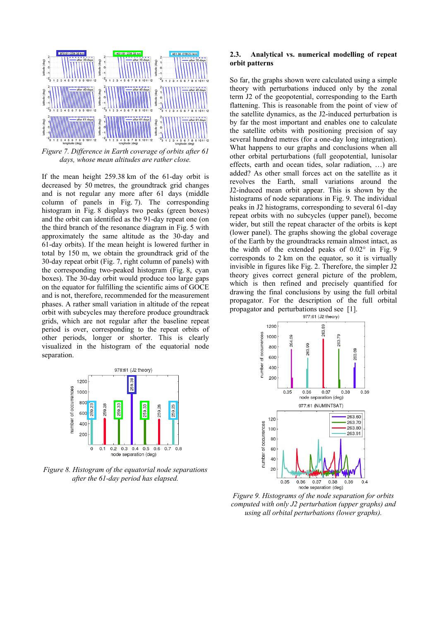

*Figure 7. Difference in Earth coverage of orbits after 61 days, whose mean altitudes are rather close.* 

If the mean height 259.38 km of the 61-day orbit is decreased by 50 metres, the groundtrack grid changes and is not regular any more after 61 days (middle column of panels in Fig. 7). The corresponding histogram in Fig. 8 displays two peaks (green boxes) and the orbit can identified as the 91-day repeat one (on the third branch of the resonance diagram in Fig. 5 with approximately the same altitude as the 30-day and 61-day orbits). If the mean height is lowered further in total by 150 m, we obtain the groundtrack grid of the 30-day repeat orbit (Fig. 7, right column of panels) with the corresponding two-peaked histogram (Fig. 8, cyan boxes). The 30-day orbit would produce too large gaps on the equator for fulfilling the scientific aims of GOCE and is not, therefore, recommended for the measurement phases. A rather small variation in altitude of the repeat orbit with subcycles may therefore produce groundtrack grids, which are not regular after the baseline repeat period is over, corresponding to the repeat orbits of other periods, longer or shorter. This is clearly visualized in the histogram of the equatorial node separation.



So far, the graphs shown were calculated using a simple theory with perturbations induced only by the zonal term J2 of the geopotential, corresponding to the Earth flattening. This is reasonable from the point of view of the satellite dynamics, as the J2-induced perturbation is by far the most important and enables one to calculate the satellite orbits with positioning precision of say several hundred metres (for a one-day long integration). What happens to our graphs and conclusions when all other orbital perturbations (full geopotential, lunisolar effects, earth and ocean tides, solar radiation, …) are added? As other small forces act on the satellite as it revolves the Earth, small variations around the J2-induced mean orbit appear. This is shown by the histograms of node separations in Fig. 9. The individual peaks in J2 histograms, corresponding to several 61-day repeat orbits with no subcycles (upper panel), become wider, but still the repeat character of the orbits is kept (lower panel). The graphs showing the global coverage of the Earth by the groundtracks remain almost intact, as the width of the extended peaks of 0.02° in Fig. 9 corresponds to 2 km on the equator, so it is virtually invisible in figures like Fig. 2. Therefore, the simpler J2 theory gives correct general picture of the problem, which is then refined and precisely quantified for drawing the final conclusions by using the full orbital propagator. For the description of the full orbital propagator and perturbations used see [1].



*Figure 9. Histograms of the node separation for orbits computed with only J2 perturbation (upper graphs) and using all orbital perturbations (lower graphs).* 



*Figure 8. Histogram of the equatorial node separations after the 61-day period has elapsed.*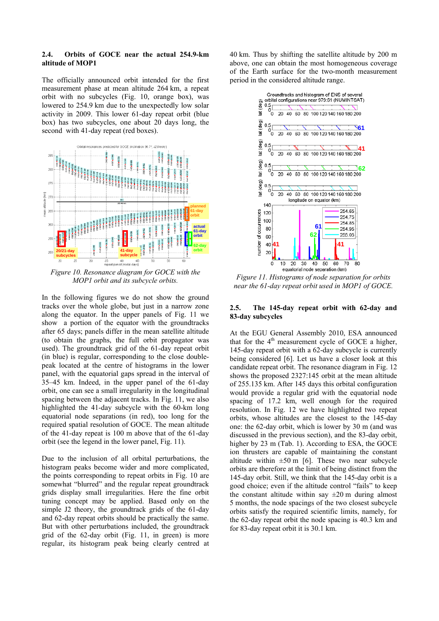### **2.4. Orbits of GOCE near the actual 254.9-km altitude of MOP1**

The officially announced orbit intended for the first measurement phase at mean altitude 264 km, a repeat orbit with no subcycles (Fig. 10, orange box), was lowered to 254.9 km due to the unexpectedly low solar activity in 2009. This lower 61-day repeat orbit (blue box) has two subcycles, one about 20 days long, the second with 41-day repeat (red boxes).



*Figure 10. Resonance diagram for GOCE with the MOP1 orbit and its subcycle orbits.* 

In the following figures we do not show the ground tracks over the whole globe, but just in a narrow zone along the equator. In the upper panels of Fig. 11 we show a portion of the equator with the groundtracks after 65 days; panels differ in the mean satellite altitude (to obtain the graphs, the full orbit propagator was used). The groundtrack grid of the 61-day repeat orbit (in blue) is regular, corresponding to the close doublepeak located at the centre of histograms in the lower panel, with the equatorial gaps spread in the interval of 35–45 km. Indeed, in the upper panel of the 61-day orbit, one can see a small irregularity in the longitudinal spacing between the adjacent tracks. In Fig. 11, we also highlighted the 41-day subcycle with the 60-km long equatorial node separations (in red), too long for the required spatial resolution of GOCE. The mean altitude of the 41-day repeat is 100 m above that of the 61-day orbit (see the legend in the lower panel, Fig. 11).

Due to the inclusion of all orbital perturbations, the histogram peaks become wider and more complicated, the points corresponding to repeat orbits in Fig. 10 are somewhat "blurred" and the regular repeat groundtrack grids display small irregularities. Here the fine orbit tuning concept may be applied. Based only on the simple J2 theory, the groundtrack grids of the 61-day and 62-day repeat orbits should be practically the same. But with other perturbations included, the groundtrack grid of the 62-day orbit (Fig. 11, in green) is more regular, its histogram peak being clearly centred at 40 km. Thus by shifting the satellite altitude by 200 m above, one can obtain the most homogeneous coverage of the Earth surface for the two-month measurement period in the considered altitude range.



*Figure 11. Histograms of node separation for orbits near the 61-day repeat orbit used in MOP1 of GOCE.* 

### 2.5. The 145-day repeat orbit with 62-day and **83-day subcycles**

At the EGU General Assembly 2010, ESA announced that for the  $4<sup>th</sup>$  measurement cycle of GOCE a higher, 145-day repeat orbit with a 62-day subcycle is currently being considered [6]. Let us have a closer look at this candidate repeat orbit. The resonance diagram in Fig. 12 shows the proposed 2327:145 orbit at the mean altitude of 255.135 km. After 145 days this orbital configuration would provide a regular grid with the equatorial node spacing of 17.2 km, well enough for the required resolution. In Fig. 12 we have highlighted two repeat orbits, whose altitudes are the closest to the 145-day one: the 62-day orbit, which is lower by 30 m (and was discussed in the previous section), and the 83-day orbit, higher by 23 m (Tab. 1). According to ESA, the GOCE ion thrusters are capable of maintaining the constant altitude within  $\pm 50$  m [6]. These two near subcycle orbits are therefore at the limit of being distinct from the 145-day orbit. Still, we think that the 145-day orbit is a good choice; even if the altitude control "fails" to keep the constant altitude within say  $\pm 20$  m during almost 5 months, the node spacings of the two closest subcycle orbits satisfy the required scientific limits, namely, for the 62-day repeat orbit the node spacing is 40.3 km and for 83-day repeat orbit it is 30.1 km.